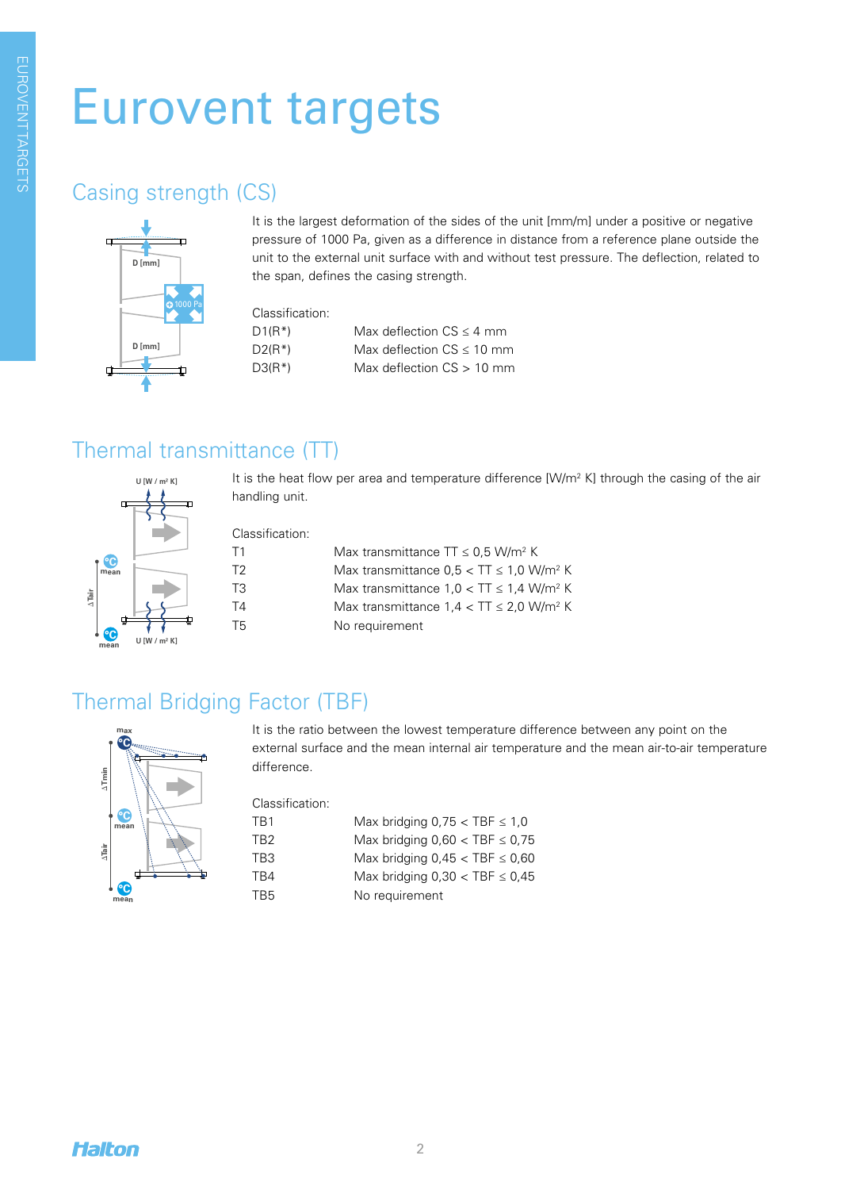# Eurovent targets

#### **Casing strength (CS) Thermal bridge of the case of the case of the case of the case of the case of the case of the case of the case of the case of the case of the case of the case of the case of the case of the case of**



**U [W / m² K] U [W / m² K]**

the span, defines the casing strength. a p unit to the external unit surface with and without test pressure. The deflection, related to<br>the span, defines the casing strength **Lackage 1** It is the largest deformation of the sides of the unit [mm/m] under a positive or negative **max** pressure of 1000 Pa, given as a difference in distance from a reference plane outside the

Classification:

| $D1(R^*)$ | Max deflection $CS \leq 4$ mm  |
|-----------|--------------------------------|
| $D2(R^*)$ | Max deflection $CS \leq 10$ mm |
| $D3(R^*)$ | Max deflection $CS > 10$ mm    |

## **Thermal transmittance Thermal transmittance** Thermal transmittance (TT)

It is the heat flow per area and temperature difference [W/m<sup>2</sup> K] through the casing of the air handling unit.

Classification:

| Τ1 | Max transmittance $TT \leq 0.5$ W/m <sup>2</sup> K      |
|----|---------------------------------------------------------|
| T2 | Max transmittance $0.5 < TT \le 1.0$ W/m <sup>2</sup> K |
| TЗ | Max transmittance $1.0 < TT \le 1.4$ W/m <sup>2</sup> K |
| T4 | Max transmittance $1.4 < TT \le 2.0$ W/m <sup>2</sup> K |
| T5 | No requirement                                          |

# Thermal Bridging Factor (TBF)

**°C °C °C Dean**<br>⊡<br>⊲ **max mean** D**Tmin**

**U [W / m² K]**

**°C**

**°C**

**Dean**<br>⊡<br>⊲

**°C**

**mean**

D**Tair mean**

**°C**

It is the ratio between the lowest temperature difference between any point on the external surface and the mean internal air temperature and the mean air-to-air temperature difference.

Classification:

| TB1 | Max bridging $0.75 <$ TBF $\leq 1.0$  |
|-----|---------------------------------------|
| TR2 | Max bridging $0,60 <$ TBF $\leq 0,75$ |
| TB3 | Max bridging $0,45 <$ TBF $\leq 0,60$ |
| TR4 | Max bridging $0,30 <$ TBF $\leq 0,45$ |
| TB5 | No requirement                        |
|     |                                       |